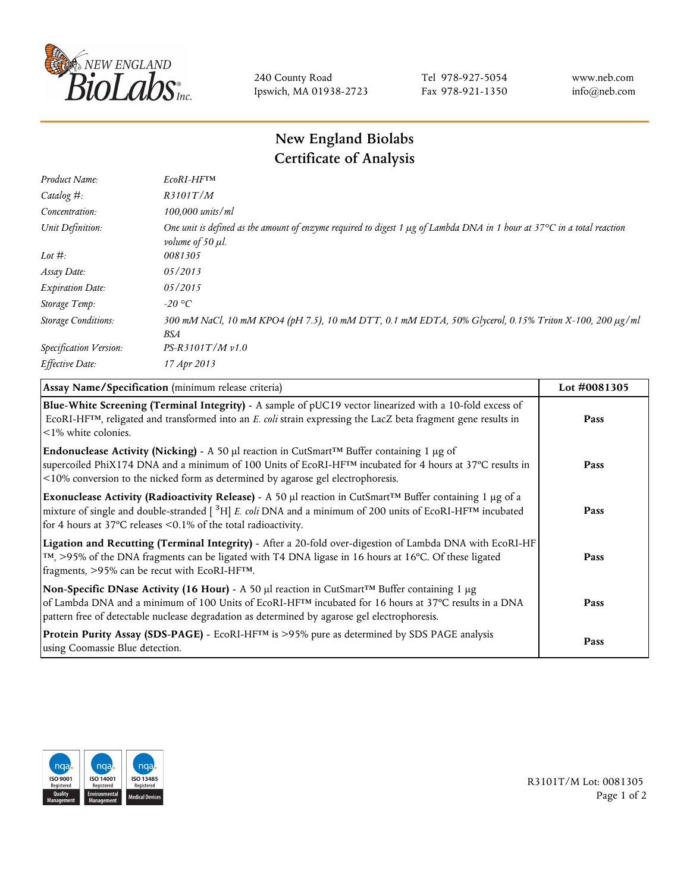

240 County Road Ipswich, MA 01938-2723 Tel 978-927-5054 Fax 978-921-1350 www.neb.com info@neb.com

## **New England Biolabs Certificate of Analysis**

| Product Name:              | EcoRI-HFTM                                                                                                                                                                       |
|----------------------------|----------------------------------------------------------------------------------------------------------------------------------------------------------------------------------|
| Catalog #:                 | R3101T/M                                                                                                                                                                         |
| Concentration:             | 100,000 units/ml                                                                                                                                                                 |
| Unit Definition:           | One unit is defined as the amount of enzyme required to digest 1 $\mu$ g of Lambda DNA in 1 hour at 37 $\degree$ C in a total reaction<br><i>volume of 50 <math>\mu</math>l.</i> |
| Lot $#$ :                  | 0081305                                                                                                                                                                          |
| Assay Date:                | 05/2013                                                                                                                                                                          |
| <b>Expiration Date:</b>    | 05/2015                                                                                                                                                                          |
| Storage Temp:              | $-20\text{ °C}$                                                                                                                                                                  |
| <b>Storage Conditions:</b> | 300 mM NaCl, 10 mM KPO4 (pH 7.5), 10 mM DTT, 0.1 mM EDTA, 50% Glycerol, 0.15% Triton X-100, 200 µg/ml<br>BSA                                                                     |
| Specification Version:     | $PS-R3101T/Mv1.0$                                                                                                                                                                |
| Effective Date:            | 17 Apr 2013                                                                                                                                                                      |

| Assay Name/Specification (minimum release criteria)                                                                                                                                                                                                                                                                                          | Lot #0081305 |
|----------------------------------------------------------------------------------------------------------------------------------------------------------------------------------------------------------------------------------------------------------------------------------------------------------------------------------------------|--------------|
| Blue-White Screening (Terminal Integrity) - A sample of pUC19 vector linearized with a 10-fold excess of<br>ECORI-HFTM, religated and transformed into an E. coli strain expressing the LacZ beta fragment gene results in<br>$\leq$ 1% white colonies.                                                                                      | Pass         |
| Endonuclease Activity (Nicking) - A 50 µl reaction in CutSmart™ Buffer containing 1 µg of<br>supercoiled PhiX174 DNA and a minimum of 100 Units of EcoRI-HF <sup>TM</sup> incubated for 4 hours at 37°C results in<br><10% conversion to the nicked form as determined by agarose gel electrophoresis.                                       | Pass         |
| Exonuclease Activity (Radioactivity Release) - A 50 $\mu$ l reaction in CutSmart <sup>TM</sup> Buffer containing 1 $\mu$ g of a<br>mixture of single and double-stranded $[{}^{3}H]$ E. coli DNA and a minimum of 200 units of EcoRI-HF <sup>TM</sup> incubated<br>for 4 hours at 37 $\degree$ C releases < 0.1% of the total radioactivity. | Pass         |
| Ligation and Recutting (Terminal Integrity) - After a 20-fold over-digestion of Lambda DNA with EcoRI-HF<br>$\lceil m \rceil$ , >95% of the DNA fragments can be ligated with T4 DNA ligase in 16 hours at 16 °C. Of these ligated<br>fragments, >95% can be recut with EcoRI-HFTM.                                                          | Pass         |
| Non-Specific DNase Activity (16 Hour) - A 50 µl reaction in CutSmart™ Buffer containing 1 µg<br>of Lambda DNA and a minimum of 100 Units of EcoRI-HF <sup>TM</sup> incubated for 16 hours at 37°C results in a DNA<br>pattern free of detectable nuclease degradation as determined by agarose gel electrophoresis.                          | Pass         |
| <b>Protein Purity Assay (SDS-PAGE)</b> - EcoRI-HF <sup>TM</sup> is >95% pure as determined by SDS PAGE analysis<br>using Coomassie Blue detection.                                                                                                                                                                                           | Pass         |



R3101T/M Lot: 0081305 Page 1 of 2